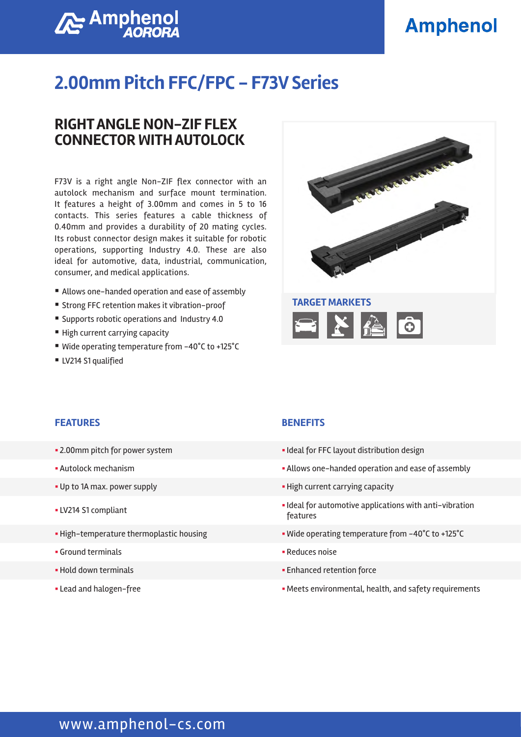## **Amphenol**

# **Amphenol**

### **2.00mm Pitch FFC/FPC - F73V Series**

### **RIGHT ANGLE NON-ZIF FLEX CONNECTOR WITH AUTOLOCK**

F73V is a right angle Non-ZIF flex connector with an autolock mechanism and surface mount termination. It features a height of 3.00mm and comes in 5 to 16 contacts. This series features a cable thickness of 0.40mm and provides a durability of 20 mating cycles. Its robust connector design makes it suitable for robotic operations, supporting Industry 4.0. These are also ideal for automotive, data, industrial, communication, consumer, and medical applications.

- Allows one-handed operation and ease of assembly
- Strong FFC retention makes it vibration-proof
- Supports robotic operations and Industry 4.0
- High current carrying capacity
- Wide operating temperature from -40°C to +125°C
- LV214 S1 qualified



#### **FEATURES BENEFITS**

- 
- 
- 
- 
- 
- § Ground terminals § Reduces noise
- 
- 

- 2.00mm pitch for power system  $\blacksquare$  Ideal for FFC layout distribution design
- § Autolock mechanism § Allows one-handed operation and ease of assembly
- § Up to 1A max. power supply § High current carrying capacity
- Ideal for automotive applications with anti-vibration<br>■ Ideal for automotive applications with anti-vibration features
- § High-temperature thermoplastic housing § Wide operating temperature from -40°C to +125°C
	-
- § Hold down terminals § Enhanced retention force
- Lead and halogen-free **Exercise 2008 Meets environmental, health, and safety requirements**